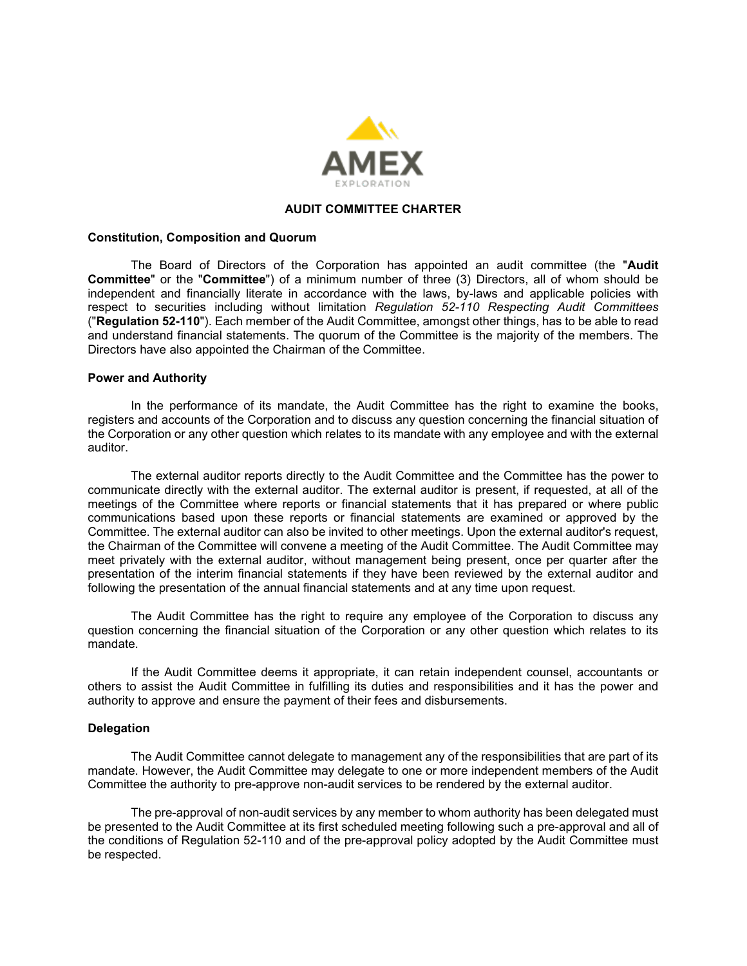

# **AUDIT COMMITTEE CHARTER**

#### **Constitution, Composition and Quorum**

The Board of Directors of the Corporation has appointed an audit committee (the "**Audit Committee**" or the "**Committee**") of a minimum number of three (3) Directors, all of whom should be independent and financially literate in accordance with the laws, by-laws and applicable policies with respect to securities including without limitation *Regulation 52-110 Respecting Audit Committees* ("**Regulation 52-110**"). Each member of the Audit Committee, amongst other things, has to be able to read and understand financial statements. The quorum of the Committee is the majority of the members. The Directors have also appointed the Chairman of the Committee.

#### **Power and Authority**

In the performance of its mandate, the Audit Committee has the right to examine the books, registers and accounts of the Corporation and to discuss any question concerning the financial situation of the Corporation or any other question which relates to its mandate with any employee and with the external auditor.

The external auditor reports directly to the Audit Committee and the Committee has the power to communicate directly with the external auditor. The external auditor is present, if requested, at all of the meetings of the Committee where reports or financial statements that it has prepared or where public communications based upon these reports or financial statements are examined or approved by the Committee. The external auditor can also be invited to other meetings. Upon the external auditor's request, the Chairman of the Committee will convene a meeting of the Audit Committee. The Audit Committee may meet privately with the external auditor, without management being present, once per quarter after the presentation of the interim financial statements if they have been reviewed by the external auditor and following the presentation of the annual financial statements and at any time upon request.

The Audit Committee has the right to require any employee of the Corporation to discuss any question concerning the financial situation of the Corporation or any other question which relates to its mandate.

If the Audit Committee deems it appropriate, it can retain independent counsel, accountants or others to assist the Audit Committee in fulfilling its duties and responsibilities and it has the power and authority to approve and ensure the payment of their fees and disbursements.

#### **Delegation**

The Audit Committee cannot delegate to management any of the responsibilities that are part of its mandate. However, the Audit Committee may delegate to one or more independent members of the Audit Committee the authority to pre-approve non-audit services to be rendered by the external auditor.

The pre-approval of non-audit services by any member to whom authority has been delegated must be presented to the Audit Committee at its first scheduled meeting following such a pre-approval and all of the conditions of Regulation 52-110 and of the pre-approval policy adopted by the Audit Committee must be respected.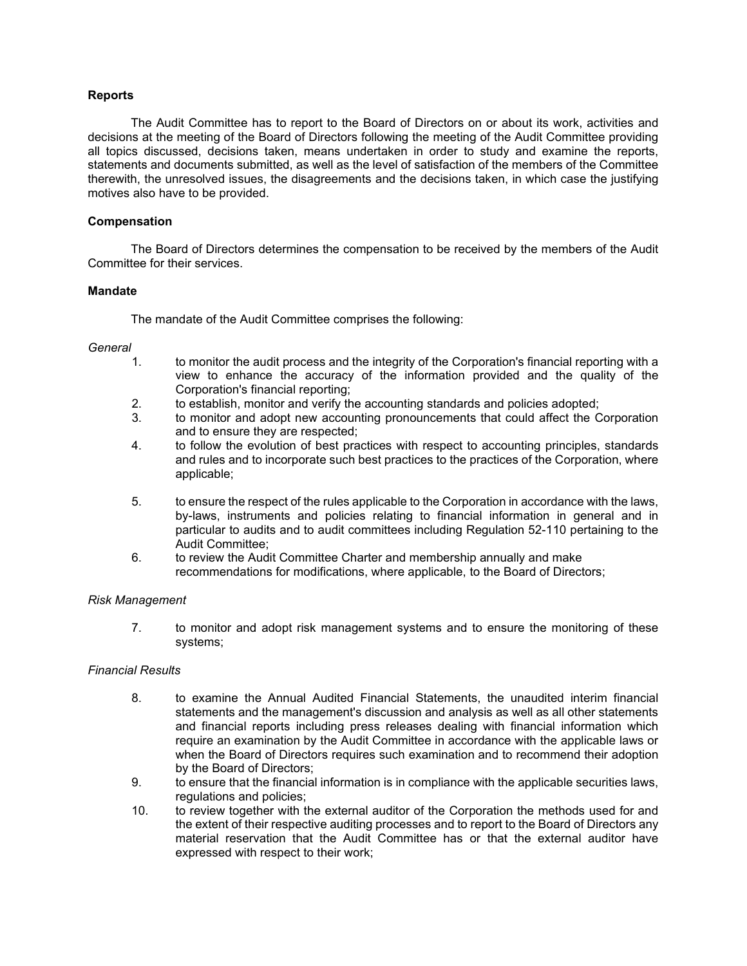### **Reports**

The Audit Committee has to report to the Board of Directors on or about its work, activities and decisions at the meeting of the Board of Directors following the meeting of the Audit Committee providing all topics discussed, decisions taken, means undertaken in order to study and examine the reports, statements and documents submitted, as well as the level of satisfaction of the members of the Committee therewith, the unresolved issues, the disagreements and the decisions taken, in which case the justifying motives also have to be provided.

## **Compensation**

The Board of Directors determines the compensation to be received by the members of the Audit Committee for their services.

### **Mandate**

The mandate of the Audit Committee comprises the following:

### *General*

- 1. to monitor the audit process and the integrity of the Corporation's financial reporting with a view to enhance the accuracy of the information provided and the quality of the Corporation's financial reporting;
- 2. to establish, monitor and verify the accounting standards and policies adopted;<br>3. to monitor and adopt new accounting pronouncements that could affect the C
- to monitor and adopt new accounting pronouncements that could affect the Corporation and to ensure they are respected;
- 4. to follow the evolution of best practices with respect to accounting principles, standards and rules and to incorporate such best practices to the practices of the Corporation, where applicable;
- 5. to ensure the respect of the rules applicable to the Corporation in accordance with the laws, by-laws, instruments and policies relating to financial information in general and in particular to audits and to audit committees including Regulation 52-110 pertaining to the Audit Committee;
- 6. to review the Audit Committee Charter and membership annually and make recommendations for modifications, where applicable, to the Board of Directors;

### *Risk Management*

7. to monitor and adopt risk management systems and to ensure the monitoring of these systems;

### *Financial Results*

- 8. to examine the Annual Audited Financial Statements, the unaudited interim financial statements and the management's discussion and analysis as well as all other statements and financial reports including press releases dealing with financial information which require an examination by the Audit Committee in accordance with the applicable laws or when the Board of Directors requires such examination and to recommend their adoption by the Board of Directors;
- 9. to ensure that the financial information is in compliance with the applicable securities laws, regulations and policies;
- 10. to review together with the external auditor of the Corporation the methods used for and the extent of their respective auditing processes and to report to the Board of Directors any material reservation that the Audit Committee has or that the external auditor have expressed with respect to their work;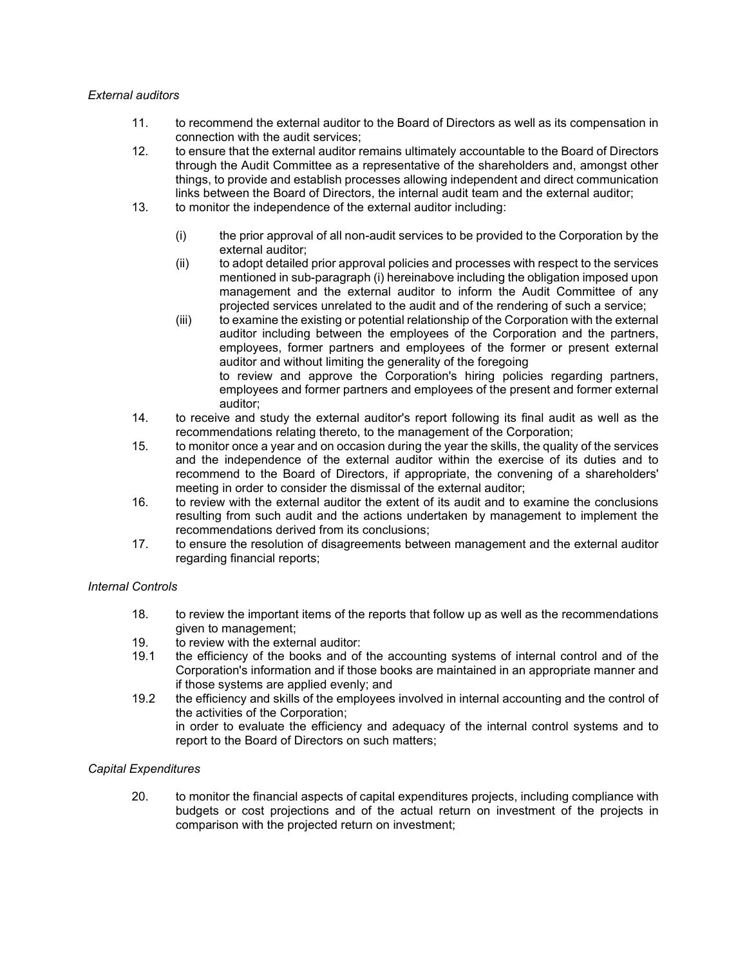## *External auditors*

- 11. to recommend the external auditor to the Board of Directors as well as its compensation in connection with the audit services;
- 12. to ensure that the external auditor remains ultimately accountable to the Board of Directors through the Audit Committee as a representative of the shareholders and, amongst other things, to provide and establish processes allowing independent and direct communication links between the Board of Directors, the internal audit team and the external auditor;
- 13. to monitor the independence of the external auditor including:
	- (i) the prior approval of all non-audit services to be provided to the Corporation by the external auditor;
	- (ii) to adopt detailed prior approval policies and processes with respect to the services mentioned in sub-paragraph (i) hereinabove including the obligation imposed upon management and the external auditor to inform the Audit Committee of any projected services unrelated to the audit and of the rendering of such a service;
	- (iii) to examine the existing or potential relationship of the Corporation with the external auditor including between the employees of the Corporation and the partners, employees, former partners and employees of the former or present external auditor and without limiting the generality of the foregoing to review and approve the Corporation's hiring policies regarding partners,

employees and former partners and employees of the present and former external auditor;

- 14. to receive and study the external auditor's report following its final audit as well as the recommendations relating thereto, to the management of the Corporation;
- 15. to monitor once a year and on occasion during the year the skills, the quality of the services and the independence of the external auditor within the exercise of its duties and to recommend to the Board of Directors, if appropriate, the convening of a shareholders' meeting in order to consider the dismissal of the external auditor;
- 16. to review with the external auditor the extent of its audit and to examine the conclusions resulting from such audit and the actions undertaken by management to implement the recommendations derived from its conclusions;
- 17. to ensure the resolution of disagreements between management and the external auditor regarding financial reports;

# *Internal Controls*

- 18. to review the important items of the reports that follow up as well as the recommendations given to management;
- 19. to review with the external auditor:<br>19.1 the efficiency of the books and of
- the efficiency of the books and of the accounting systems of internal control and of the Corporation's information and if those books are maintained in an appropriate manner and if those systems are applied evenly; and
- 19.2 the efficiency and skills of the employees involved in internal accounting and the control of the activities of the Corporation; in order to evaluate the efficiency and adequacy of the internal control systems and to report to the Board of Directors on such matters;

# *Capital Expenditures*

20. to monitor the financial aspects of capital expenditures projects, including compliance with budgets or cost projections and of the actual return on investment of the projects in comparison with the projected return on investment;